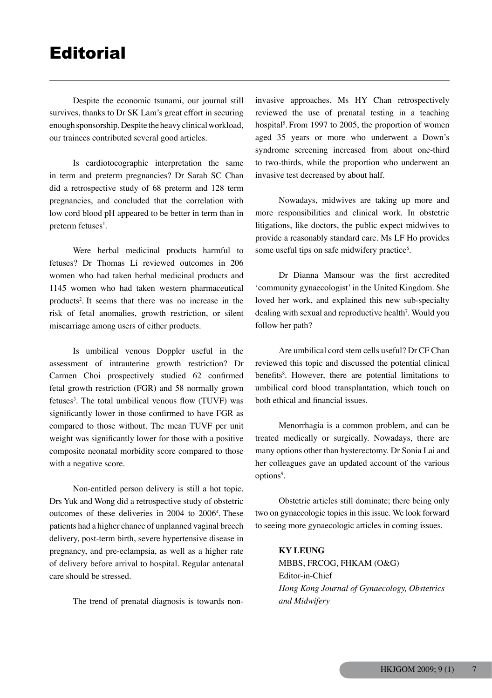Despite the economic tsunami, our journal still survives, thanks to Dr SK Lam's great effort in securing enough sponsorship. Despite the heavy clinical workload, our trainees contributed several good articles.

Is cardiotocographic interpretation the same in term and preterm pregnancies? Dr Sarah SC Chan did a retrospective study of 68 preterm and 128 term pregnancies, and concluded that the correlation with low cord blood pH appeared to be better in term than in preterm fetuses<sup>1</sup>.

Were herbal medicinal products harmful to fetuses? Dr Thomas Li reviewed outcomes in 206 women who had taken herbal medicinal products and 1145 women who had taken western pharmaceutical products2 . It seems that there was no increase in the risk of fetal anomalies, growth restriction, or silent miscarriage among users of either products.

Is umbilical venous Doppler useful in the assessment of intrauterine growth restriction? Dr Carmen Choi prospectively studied 62 confirmed fetal growth restriction (FGR) and 58 normally grown fetuses<sup>3</sup>. The total umbilical venous flow (TUVF) was significantly lower in those confirmed to have FGR as compared to those without. The mean TUVF per unit weight was significantly lower for those with a positive composite neonatal morbidity score compared to those with a negative score.

Non-entitled person delivery is still a hot topic. Drs Yuk and Wong did a retrospective study of obstetric outcomes of these deliveries in 2004 to 20064 . These patients had a higher chance of unplanned vaginal breech delivery, post-term birth, severe hypertensive disease in pregnancy, and pre-eclampsia, as well as a higher rate of delivery before arrival to hospital. Regular antenatal care should be stressed.

The trend of prenatal diagnosis is towards non-

invasive approaches. Ms HY Chan retrospectively reviewed the use of prenatal testing in a teaching hospital<sup>5</sup>. From 1997 to 2005, the proportion of women aged 35 years or more who underwent a Down's syndrome screening increased from about one-third to two-thirds, while the proportion who underwent an invasive test decreased by about half.

Nowadays, midwives are taking up more and more responsibilities and clinical work. In obstetric litigations, like doctors, the public expect midwives to provide a reasonably standard care. Ms LF Ho provides some useful tips on safe midwifery practice<sup>6</sup>.

Dr Dianna Mansour was the first accredited 'community gynaecologist' in the United Kingdom. She loved her work, and explained this new sub-specialty dealing with sexual and reproductive health<sup>7</sup>. Would you follow her path?

Are umbilical cord stem cells useful? Dr CF Chan reviewed this topic and discussed the potential clinical benefits<sup>8</sup>. However, there are potential limitations to umbilical cord blood transplantation, which touch on both ethical and financial issues.

Menorrhagia is a common problem, and can be treated medically or surgically. Nowadays, there are many options other than hysterectomy. Dr Sonia Lai and her colleagues gave an updated account of the various options<sup>9</sup>.

Obstetric articles still dominate; there being only two on gynaecologic topics in this issue. We look forward to seeing more gynaecologic articles in coming issues.

> **KY LEUNG** MBBS, FRCOG, FHKAM (O&G) Editor-in-Chief *Hong Kong Journal of Gynaecology, Obstetrics and Midwifery*